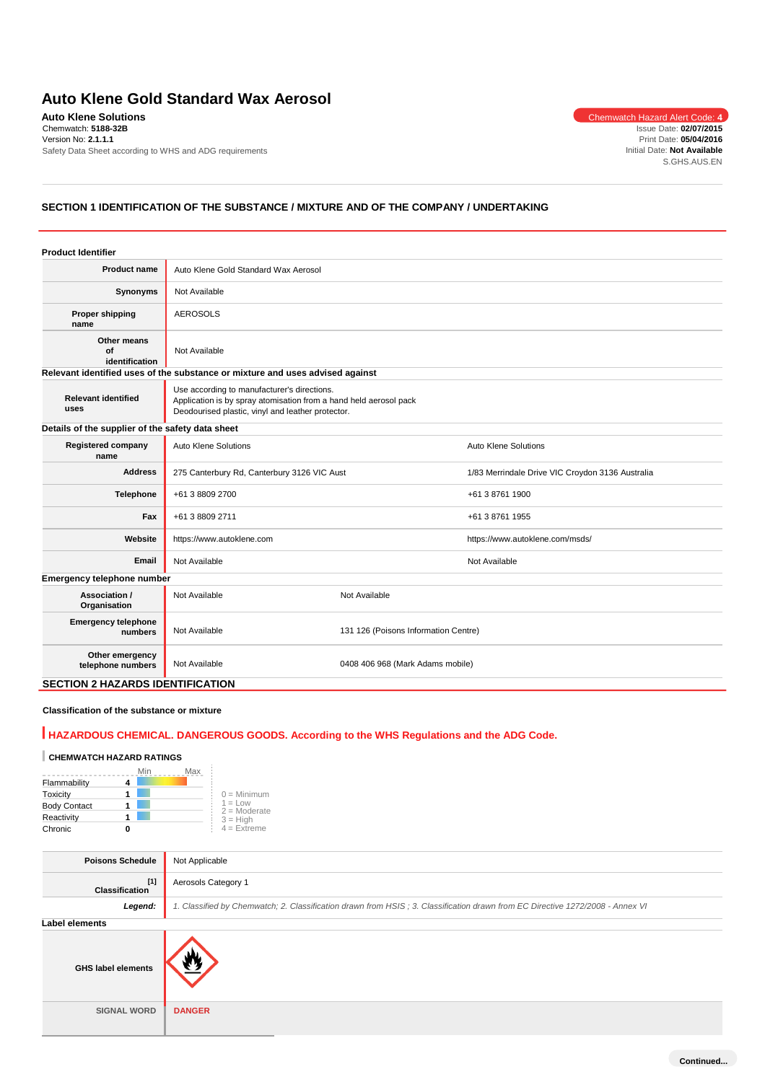# **Auto Klene Gold Standard Wax Aerosol**

**Auto Klene Solutions** Chemwatch Hazard Alert Code: 4 Chemwatch: **5188-32B** Version No: **2.1.1.1** Safety Data Sheet according to WHS and ADG requirements

Issue Date: **02/07/2015** Print Date: **05/04/2016** Initial Date: **Not Available** S.GHS.AUS.EN

# **SECTION 1 IDENTIFICATION OF THE SUBSTANCE / MIXTURE AND OF THE COMPANY / UNDERTAKING**

| <b>Product Identifier</b>                        |                                                                                                                                                                       |                                      |                                                  |  |
|--------------------------------------------------|-----------------------------------------------------------------------------------------------------------------------------------------------------------------------|--------------------------------------|--------------------------------------------------|--|
| <b>Product name</b>                              | Auto Klene Gold Standard Wax Aerosol                                                                                                                                  |                                      |                                                  |  |
| Synonyms                                         | Not Available                                                                                                                                                         |                                      |                                                  |  |
| Proper shipping<br>name                          | <b>AEROSOLS</b>                                                                                                                                                       |                                      |                                                  |  |
| Other means<br>Ωf<br>identification              | Not Available                                                                                                                                                         |                                      |                                                  |  |
|                                                  | Relevant identified uses of the substance or mixture and uses advised against                                                                                         |                                      |                                                  |  |
| <b>Relevant identified</b><br>uses               | Use according to manufacturer's directions.<br>Application is by spray atomisation from a hand held aerosol pack<br>Deodourised plastic, vinyl and leather protector. |                                      |                                                  |  |
| Details of the supplier of the safety data sheet |                                                                                                                                                                       |                                      |                                                  |  |
| <b>Registered company</b><br>name                | Auto Klene Solutions                                                                                                                                                  |                                      | <b>Auto Klene Solutions</b>                      |  |
| <b>Address</b>                                   | 275 Canterbury Rd, Canterbury 3126 VIC Aust                                                                                                                           |                                      | 1/83 Merrindale Drive VIC Croydon 3136 Australia |  |
| <b>Telephone</b>                                 | +61 3 8809 2700                                                                                                                                                       |                                      | +61 3 8761 1900                                  |  |
| Fax                                              | +61 3 8809 2711                                                                                                                                                       |                                      | +61 3 8761 1955                                  |  |
| Website                                          | https://www.autoklene.com                                                                                                                                             |                                      | https://www.autoklene.com/msds/                  |  |
| Email                                            | Not Available                                                                                                                                                         |                                      | Not Available                                    |  |
| Emergency telephone number                       |                                                                                                                                                                       |                                      |                                                  |  |
| Association /<br>Organisation                    | Not Available                                                                                                                                                         | Not Available                        |                                                  |  |
| <b>Emergency telephone</b><br>numbers            | Not Available                                                                                                                                                         | 131 126 (Poisons Information Centre) |                                                  |  |
| Other emergency<br>telephone numbers             | Not Available                                                                                                                                                         | 0408 406 968 (Mark Adams mobile)     |                                                  |  |
| <b>SECTION 2 HAZARDS IDENTIFICATION</b>          |                                                                                                                                                                       |                                      |                                                  |  |

# **Classification of the substance or mixture**

# **HAZARDOUS CHEMICAL. DANGEROUS GOODS. According to the WHS Regulations and the ADG Code.**

# **CHEMWATCH HAZARD RATINGS**

|                     | Min | Max                         |
|---------------------|-----|-----------------------------|
| Flammability        |     |                             |
| Toxicity            |     | $0 =$ Minimum               |
| <b>Body Contact</b> |     | $1 = Low$<br>$2 =$ Moderate |
| Reactivity          |     | $3 = High$                  |
| Chronic             |     | $4 = Ex$ freme              |

| <b>Poisons Schedule</b>        | Not Applicable                                                                                                                |
|--------------------------------|-------------------------------------------------------------------------------------------------------------------------------|
| $[1]$<br><b>Classification</b> | Aerosols Category 1                                                                                                           |
| Legend:                        | 1. Classified by Chemwatch; 2. Classification drawn from HSIS; 3. Classification drawn from EC Directive 1272/2008 - Annex VI |
| Label elements                 |                                                                                                                               |
| <b>GHS label elements</b>      |                                                                                                                               |
| <b>SIGNAL WORD</b>             | <b>DANGER</b>                                                                                                                 |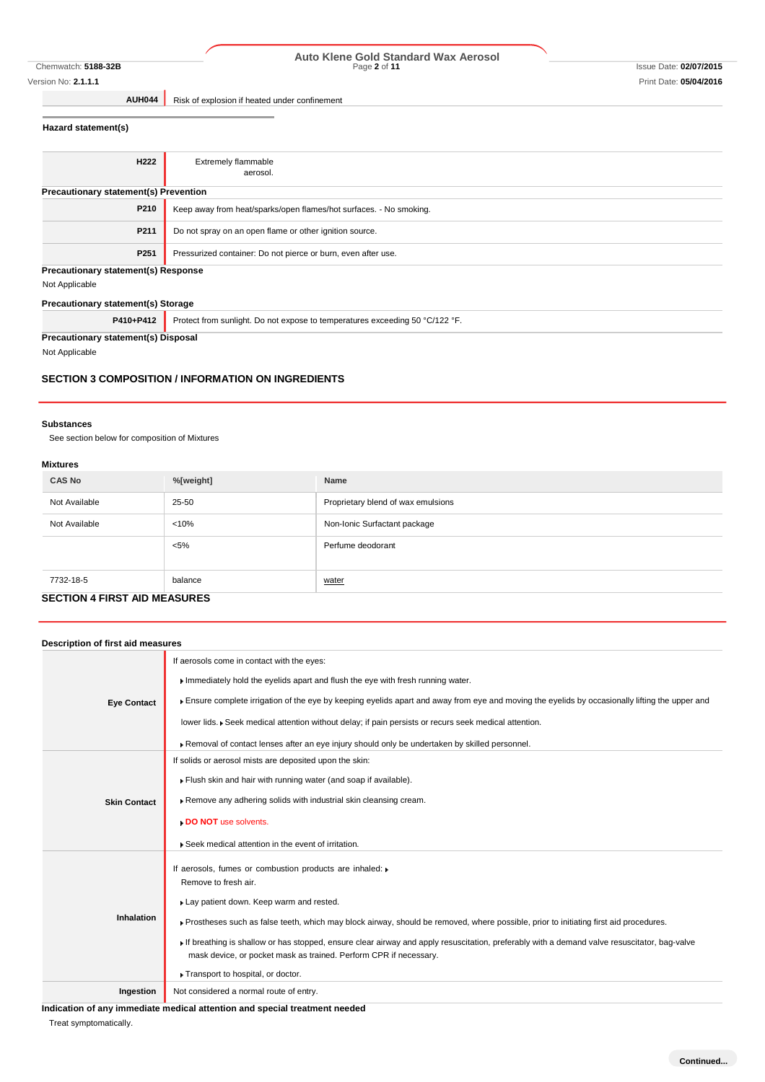# Version No: **2.1.1.1** Print Date: **05/04/2016**

# Chemwatch: **5188-32B** Page **2** of **11** Issue Date: **02/07/2015 Auto Klene Gold Standard Wax Aerosol**

**AUH044** Risk of explosion if heated under confinement

# **Hazard statement(s)**

| H <sub>222</sub>                             | <b>Extremely flammable</b>                                                   |
|----------------------------------------------|------------------------------------------------------------------------------|
|                                              |                                                                              |
|                                              | aerosol.                                                                     |
| <b>Precautionary statement(s) Prevention</b> |                                                                              |
| P210                                         | Keep away from heat/sparks/open flames/hot surfaces. - No smoking.           |
|                                              |                                                                              |
| P211                                         | Do not spray on an open flame or other ignition source.                      |
|                                              |                                                                              |
| P <sub>251</sub>                             | Pressurized container: Do not pierce or burn, even after use.                |
|                                              |                                                                              |
| Precautionary statement(s) Response          |                                                                              |
| Not Applicable                               |                                                                              |
|                                              |                                                                              |
| Precautionary statement(s) Storage           |                                                                              |
| P410+P412                                    | Protect from sunlight. Do not expose to temperatures exceeding 50 °C/122 °F. |
|                                              |                                                                              |

**Precautionary statement(s) Disposal**

Not Applicable

### **SECTION 3 COMPOSITION / INFORMATION ON INGREDIENTS**

### **Substances**

See section below for composition of Mixtures

### **Mixtures**

| <b>CAS No</b> | %[weight] | Name                               |
|---------------|-----------|------------------------------------|
| Not Available | 25-50     | Proprietary blend of wax emulsions |
| Not Available | < 10%     | Non-Ionic Surfactant package       |
|               | $< 5\%$   | Perfume deodorant                  |
|               |           |                                    |
| 7732-18-5     | balance   | water                              |
|               |           |                                    |

# **SECTION 4 FIRST AID MEASURES**

| Description of first aid measures |                                                                                                                                                                                                                                                                                                                                                                                                                                                                                                                            |
|-----------------------------------|----------------------------------------------------------------------------------------------------------------------------------------------------------------------------------------------------------------------------------------------------------------------------------------------------------------------------------------------------------------------------------------------------------------------------------------------------------------------------------------------------------------------------|
| <b>Eye Contact</b>                | If aerosols come in contact with the eyes:<br>Immediately hold the eyelids apart and flush the eye with fresh running water.<br>Ensure complete irrigation of the eye by keeping eyelids apart and away from eye and moving the eyelids by occasionally lifting the upper and<br>lower lids. ▶ Seek medical attention without delay; if pain persists or recurs seek medical attention.<br>Removal of contact lenses after an eye injury should only be undertaken by skilled personnel.                                   |
| <b>Skin Contact</b>               | If solids or aerosol mists are deposited upon the skin:<br>Flush skin and hair with running water (and soap if available).<br>Remove any adhering solids with industrial skin cleansing cream.<br>DO NOT use solvents.<br>Seek medical attention in the event of irritation.                                                                                                                                                                                                                                               |
| <b>Inhalation</b>                 | If aerosols, fumes or combustion products are inhaled:<br>Remove to fresh air.<br>Lay patient down. Keep warm and rested.<br>Frostheses such as false teeth, which may block airway, should be removed, where possible, prior to initiating first aid procedures.<br>If breathing is shallow or has stopped, ensure clear airway and apply resuscitation, preferably with a demand valve resuscitator, bag-valve<br>mask device, or pocket mask as trained. Perform CPR if necessary.<br>Transport to hospital, or doctor. |
| Ingestion                         | Not considered a normal route of entry.                                                                                                                                                                                                                                                                                                                                                                                                                                                                                    |

**Indication of any immediate medical attention and special treatment needed**

Treat symptomatically.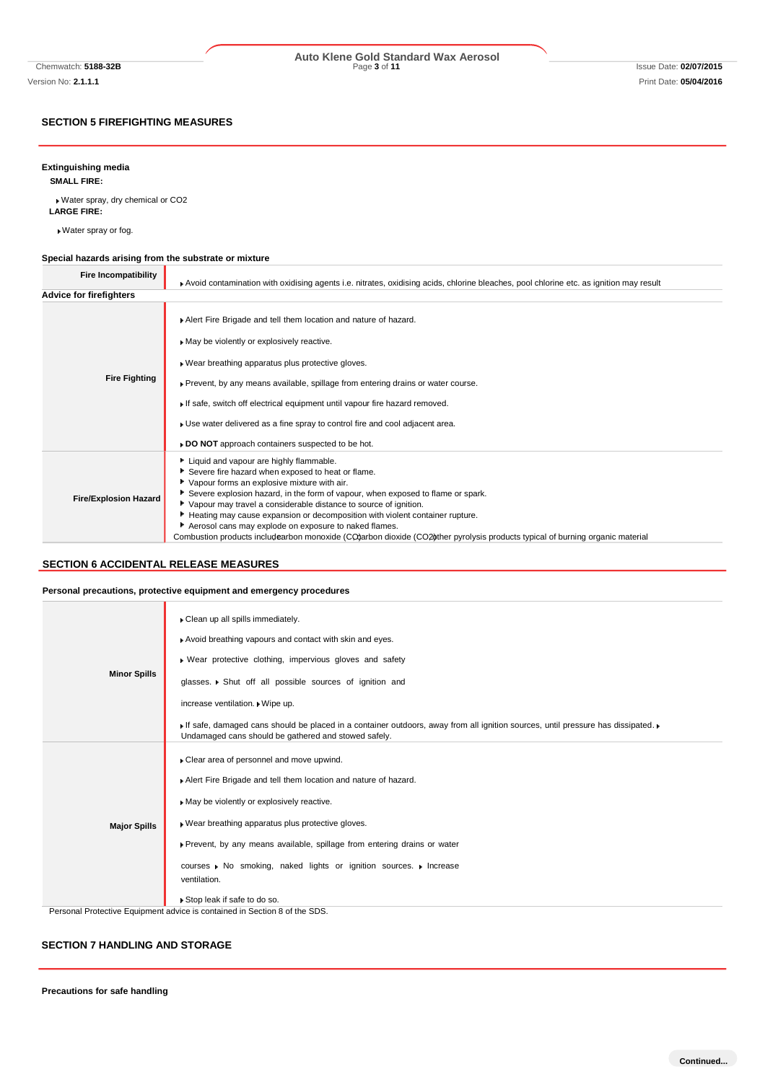# **SECTION 5 FIREFIGHTING MEASURES**

# **Extinguishing media**

**SMALL FIRE:**

Water spray, dry chemical or CO2 **LARGE FIRE:**

Water spray or fog.

#### **Special hazards arising from the substrate or mixture** ٦

| <b>Fire Incompatibility</b>    | Avoid contamination with oxidising agents i.e. nitrates, oxidising acids, chlorine bleaches, pool chlorine etc. as ignition may result                                                                                                                                                                                                                                                                                                                                                                                                                                         |  |  |
|--------------------------------|--------------------------------------------------------------------------------------------------------------------------------------------------------------------------------------------------------------------------------------------------------------------------------------------------------------------------------------------------------------------------------------------------------------------------------------------------------------------------------------------------------------------------------------------------------------------------------|--|--|
| <b>Advice for firefighters</b> |                                                                                                                                                                                                                                                                                                                                                                                                                                                                                                                                                                                |  |  |
| <b>Fire Fighting</b>           | Alert Fire Brigade and tell them location and nature of hazard.<br>May be violently or explosively reactive.<br>▶ Wear breathing apparatus plus protective gloves.<br>▶ Prevent, by any means available, spillage from entering drains or water course.<br>If safe, switch off electrical equipment until vapour fire hazard removed.<br>► Use water delivered as a fine spray to control fire and cool adjacent area.<br>► DO NOT approach containers suspected to be hot.                                                                                                    |  |  |
| <b>Fire/Explosion Hazard</b>   | Liquid and vapour are highly flammable.<br>Severe fire hazard when exposed to heat or flame.<br>Vapour forms an explosive mixture with air.<br>Severe explosion hazard, in the form of vapour, when exposed to flame or spark.<br>▶ Vapour may travel a considerable distance to source of ignition.<br>Heating may cause expansion or decomposition with violent container rupture.<br>Aerosol cans may explode on exposure to naked flames.<br>Combustion products includearbon monoxide (CO)arbon dioxide (CO2) ther pyrolysis products typical of burning organic material |  |  |

# **SECTION 6 ACCIDENTAL RELEASE MEASURES**

### **Personal precautions, protective equipment and emergency procedures**

| <b>Minor Spills</b> | Clean up all spills immediately.<br>Avoid breathing vapours and contact with skin and eyes.<br>» Wear protective clothing, impervious gloves and safety<br>glasses. • Shut off all possible sources of ignition and<br>increase ventilation. Wipe up.<br>If safe, damaged cans should be placed in a container outdoors, away from all ignition sources, until pressure has dissipated.<br>Undamaged cans should be gathered and stowed safely. |
|---------------------|-------------------------------------------------------------------------------------------------------------------------------------------------------------------------------------------------------------------------------------------------------------------------------------------------------------------------------------------------------------------------------------------------------------------------------------------------|
| <b>Major Spills</b> | Clear area of personnel and move upwind.<br>Alert Fire Brigade and tell them location and nature of hazard.<br>May be violently or explosively reactive.<br>. Wear breathing apparatus plus protective gloves.<br>Prevent, by any means available, spillage from entering drains or water<br>courses Mo smoking, naked lights or ignition sources. Morease<br>ventilation.<br>Stop leak if safe to do so.                                       |
|                     | Personal Protective Equipment advice is contained in Section 8 of the SDS.                                                                                                                                                                                                                                                                                                                                                                      |

# **SECTION 7 HANDLING AND STORAGE**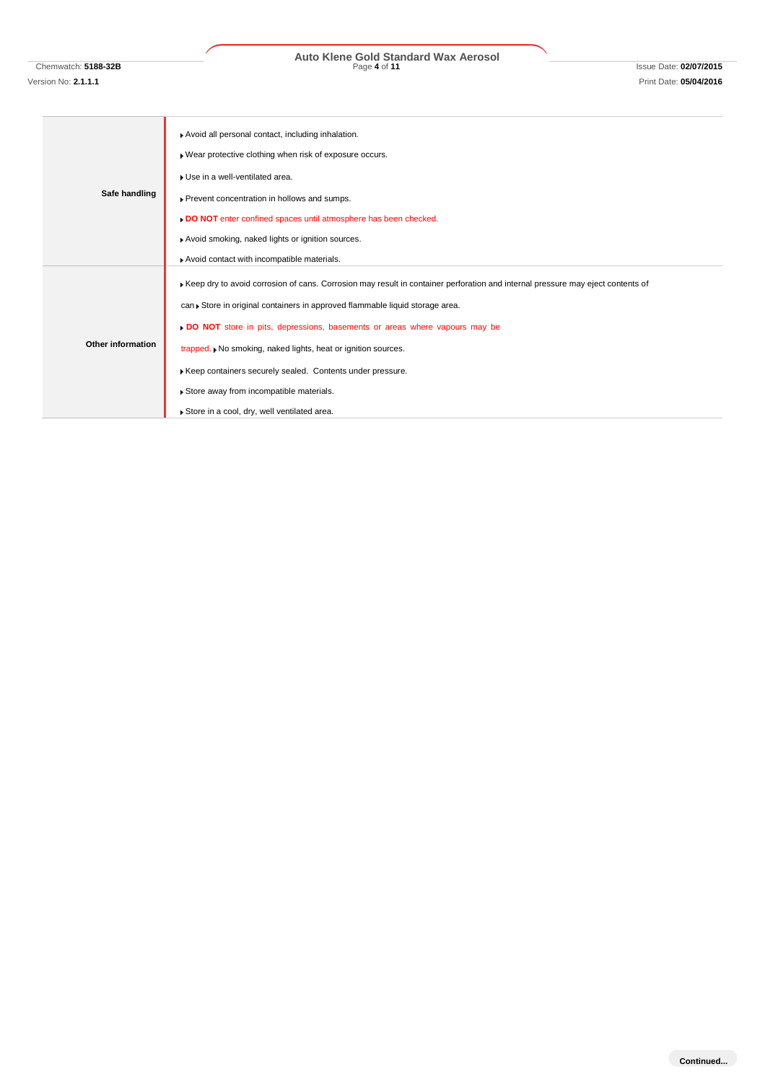# Chemwatch: **5188-32B** Page **4** of **11** Issue Date: **02/07/2015 Auto Klene Gold Standard Wax Aerosol**

# **Safe handling** Avoid all personal contact, including inhalation. Wear protective clothing when risk of exposure occurs. Use in a well-ventilated area. Prevent concentration in hollows and sumps. **DO NOT** enter confined spaces until atmosphere has been checked. Avoid smoking, naked lights or ignition sources. Avoid contact with incompatible materials. **Other information** Keep dry to avoid corrosion of cans. Corrosion may result in container perforation and internal pressure may eject contents of can Store in original containers in approved flammable liquid storage area. **DO NOT** store in pits, depressions, basements or areas where vapours may be trapped.  $\blacktriangleright$  No smoking, naked lights, heat or ignition sources. Keep containers securely sealed. Contents under pressure. Store away from incompatible materials.

Store in a cool, dry, well ventilated area.

**Continued...**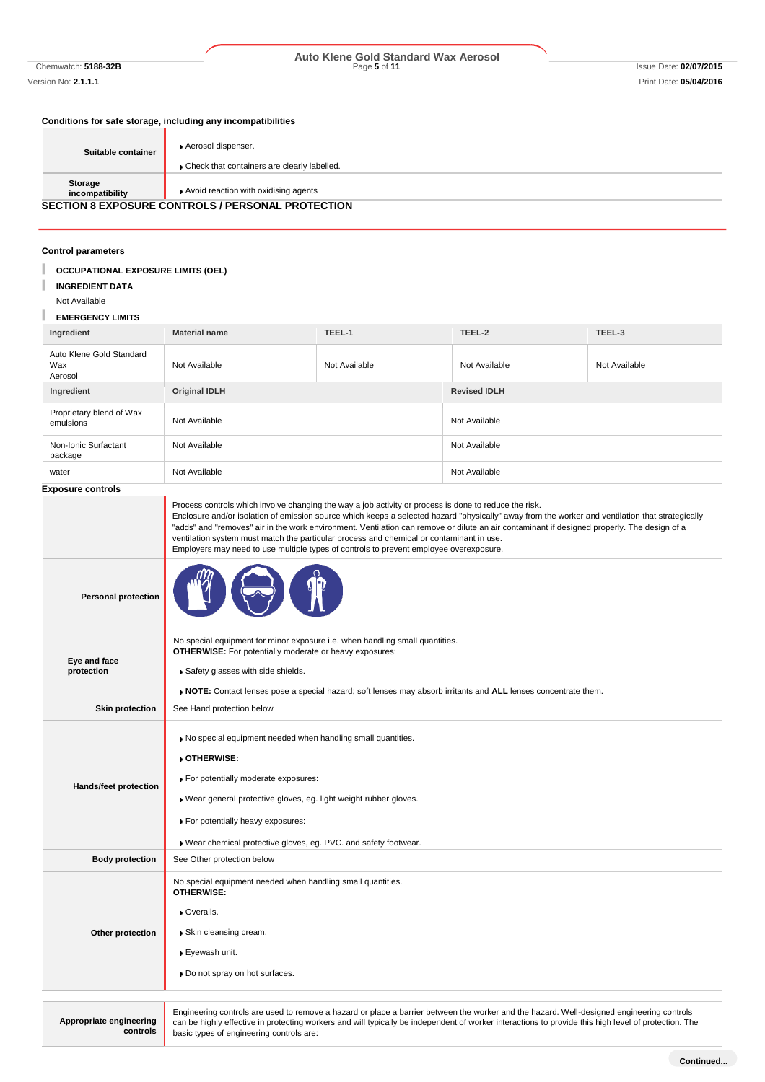# Chemwatch: **5188-32B** Page **5** of **11** Issue Date: **02/07/2015 Auto Klene Gold Standard Wax Aerosol**

# **Conditions for safe storage, including any incompatibilities**

| Suitable container         | Aerosol dispenser.<br>Check that containers are clearly labelled. |
|----------------------------|-------------------------------------------------------------------|
| Storage<br>incompatibility | Avoid reaction with oxidising agents                              |
|                            | <b>SECTION 8 EXPOSURE CONTROLS / PERSONAL PROTECTION</b>          |

# **Control parameters**

| Control parameters                         |                                                                                                                                                                                                                                                                                                                                                                                                                                                                                                                                                                                                |               |                     |               |
|--------------------------------------------|------------------------------------------------------------------------------------------------------------------------------------------------------------------------------------------------------------------------------------------------------------------------------------------------------------------------------------------------------------------------------------------------------------------------------------------------------------------------------------------------------------------------------------------------------------------------------------------------|---------------|---------------------|---------------|
| <b>OCCUPATIONAL EXPOSURE LIMITS (OEL)</b>  |                                                                                                                                                                                                                                                                                                                                                                                                                                                                                                                                                                                                |               |                     |               |
| <b>INGREDIENT DATA</b>                     |                                                                                                                                                                                                                                                                                                                                                                                                                                                                                                                                                                                                |               |                     |               |
| Not Available                              |                                                                                                                                                                                                                                                                                                                                                                                                                                                                                                                                                                                                |               |                     |               |
| <b>EMERGENCY LIMITS</b>                    |                                                                                                                                                                                                                                                                                                                                                                                                                                                                                                                                                                                                |               |                     |               |
| Ingredient                                 | <b>Material name</b>                                                                                                                                                                                                                                                                                                                                                                                                                                                                                                                                                                           | TEEL-1        | TEEL-2              | TEEL-3        |
| Auto Klene Gold Standard<br>Wax<br>Aerosol | Not Available                                                                                                                                                                                                                                                                                                                                                                                                                                                                                                                                                                                  | Not Available | Not Available       | Not Available |
| Ingredient                                 | <b>Original IDLH</b>                                                                                                                                                                                                                                                                                                                                                                                                                                                                                                                                                                           |               | <b>Revised IDLH</b> |               |
| Proprietary blend of Wax<br>emulsions      | Not Available                                                                                                                                                                                                                                                                                                                                                                                                                                                                                                                                                                                  |               | Not Available       |               |
| Non-Ionic Surfactant<br>package            | Not Available                                                                                                                                                                                                                                                                                                                                                                                                                                                                                                                                                                                  |               | Not Available       |               |
| water                                      | Not Available                                                                                                                                                                                                                                                                                                                                                                                                                                                                                                                                                                                  |               | Not Available       |               |
| Exposure controls                          |                                                                                                                                                                                                                                                                                                                                                                                                                                                                                                                                                                                                |               |                     |               |
|                                            | Process controls which involve changing the way a job activity or process is done to reduce the risk.<br>Enclosure and/or isolation of emission source which keeps a selected hazard "physically" away from the worker and ventilation that strategically<br>"adds" and "removes" air in the work environment. Ventilation can remove or dilute an air contaminant if designed properly. The design of a<br>ventilation system must match the particular process and chemical or contaminant in use.<br>Employers may need to use multiple types of controls to prevent employee overexposure. |               |                     |               |
| <b>Personal protection</b>                 |                                                                                                                                                                                                                                                                                                                                                                                                                                                                                                                                                                                                |               |                     |               |
| Eye and face<br>protection                 | No special equipment for minor exposure i.e. when handling small quantities.<br><b>OTHERWISE:</b> For potentially moderate or heavy exposures:<br>Safety glasses with side shields.<br>▶ NOTE: Contact lenses pose a special hazard; soft lenses may absorb irritants and ALL lenses concentrate them.                                                                                                                                                                                                                                                                                         |               |                     |               |
| <b>Skin protection</b>                     | See Hand protection below                                                                                                                                                                                                                                                                                                                                                                                                                                                                                                                                                                      |               |                     |               |
|                                            |                                                                                                                                                                                                                                                                                                                                                                                                                                                                                                                                                                                                |               |                     |               |
|                                            | . No special equipment needed when handling small quantities.<br>OTHERWISE:                                                                                                                                                                                                                                                                                                                                                                                                                                                                                                                    |               |                     |               |
| Hands/feet protection                      | For potentially moderate exposures:                                                                                                                                                                                                                                                                                                                                                                                                                                                                                                                                                            |               |                     |               |
|                                            | . Wear general protective gloves, eg. light weight rubber gloves.                                                                                                                                                                                                                                                                                                                                                                                                                                                                                                                              |               |                     |               |
|                                            | For potentially heavy exposures:                                                                                                                                                                                                                                                                                                                                                                                                                                                                                                                                                               |               |                     |               |
|                                            | . Wear chemical protective gloves, eg. PVC. and safety footwear.                                                                                                                                                                                                                                                                                                                                                                                                                                                                                                                               |               |                     |               |
| <b>Body protection</b>                     | See Other protection below                                                                                                                                                                                                                                                                                                                                                                                                                                                                                                                                                                     |               |                     |               |
|                                            | No special equipment needed when handling small quantities.<br><b>OTHERWISE:</b>                                                                                                                                                                                                                                                                                                                                                                                                                                                                                                               |               |                     |               |
|                                            | ▶ Overalls.                                                                                                                                                                                                                                                                                                                                                                                                                                                                                                                                                                                    |               |                     |               |
| Other protection                           | ▶ Skin cleansing cream.                                                                                                                                                                                                                                                                                                                                                                                                                                                                                                                                                                        |               |                     |               |
|                                            |                                                                                                                                                                                                                                                                                                                                                                                                                                                                                                                                                                                                |               |                     |               |
|                                            | ▶ Eyewash unit.                                                                                                                                                                                                                                                                                                                                                                                                                                                                                                                                                                                |               |                     |               |
|                                            | » Do not spray on hot surfaces.                                                                                                                                                                                                                                                                                                                                                                                                                                                                                                                                                                |               |                     |               |
|                                            |                                                                                                                                                                                                                                                                                                                                                                                                                                                                                                                                                                                                |               |                     |               |
| Appropriate engineering<br>controls        | Engineering controls are used to remove a hazard or place a barrier between the worker and the hazard. Well-designed engineering controls<br>can be highly effective in protecting workers and will typically be independent of worker interactions to provide this high level of protection. The<br>basic types of engineering controls are:                                                                                                                                                                                                                                                  |               |                     |               |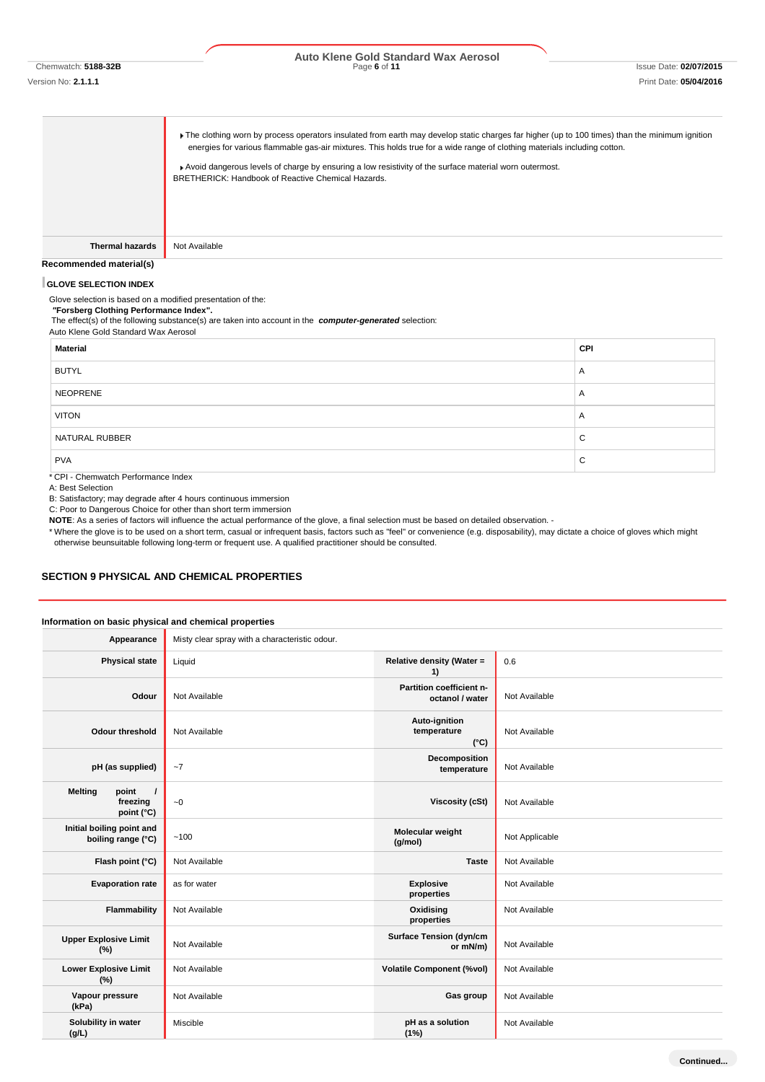# Chemwatch: **5188-32B** Page **6** of **11** Issue Date: **02/07/2015 Auto Klene Gold Standard Wax Aerosol**

The clothing worn by process operators insulated from earth may develop static charges far higher (up to 100 times) than the minimum ignition energies for various flammable gas-air mixtures. This holds true for a wide range of clothing materials including cotton.

Avoid dangerous levels of charge by ensuring a low resistivity of the surface material worn outermost. BRETHERICK: Handbook of Reactive Chemical Hazards.

**Thermal hazards** Not Available

#### **Recommended material(s)**

#### **GLOVE SELECTION INDEX**

Glove selection is based on a modified presentation of the:

*"***Forsberg Clothing Performance Index".**

The effect(s) of the following substance(s) are taken into account in the *computer-generated* selection: Auto Klene Gold Standard Wax Aerosol

| <b>Material</b>                                        | CPI |
|--------------------------------------------------------|-----|
| <b>BUTYL</b>                                           | A   |
| <b>NEOPRENE</b>                                        | A   |
| <b>VITON</b>                                           | A   |
| NATURAL RUBBER                                         | C   |
| <b>PVA</b><br>$*$ CDL, Chamientals Daufaussanna Indian | C   |

\* CPI - Chemwatch Performance Index

A: Best Selection

B: Satisfactory; may degrade after 4 hours continuous immersion

C: Poor to Dangerous Choice for other than short term immersion

**NOTE**: As a series of factors will influence the actual performance of the glove, a final selection must be based on detailed observation. -

\* Where the glove is to be used on a short term, casual or infrequent basis, factors such as "feel" or convenience (e.g. disposability), may dictate a choice of gloves which might otherwise beunsuitable following long-term or frequent use. A qualified practitioner should be consulted.

### **SECTION 9 PHYSICAL AND CHEMICAL PROPERTIES**

### **Information on basic physical and chemical properties**

| Appearance                                                    | Misty clear spray with a characteristic odour. |                                               |                |
|---------------------------------------------------------------|------------------------------------------------|-----------------------------------------------|----------------|
| <b>Physical state</b>                                         | Liquid                                         | <b>Relative density (Water =</b><br>1)        | 0.6            |
| Odour                                                         | Not Available                                  | Partition coefficient n-<br>octanol / water   | Not Available  |
| <b>Odour threshold</b>                                        | Not Available                                  | Auto-ignition<br>temperature<br>$(^{\circ}C)$ | Not Available  |
| pH (as supplied)                                              | $-7$                                           | Decomposition<br>temperature                  | Not Available  |
| point<br><b>Melting</b><br>$\prime$<br>freezing<br>point (°C) | $\sim\!0$                                      | <b>Viscosity (cSt)</b>                        | Not Available  |
| Initial boiling point and<br>boiling range (°C)               | ~100                                           | Molecular weight<br>(g/mol)                   | Not Applicable |
| Flash point (°C)                                              | Not Available                                  | <b>Taste</b>                                  | Not Available  |
| <b>Evaporation rate</b>                                       | as for water                                   | <b>Explosive</b><br>properties                | Not Available  |
| Flammability                                                  | Not Available                                  | Oxidising<br>properties                       | Not Available  |
| <b>Upper Explosive Limit</b><br>(%)                           | Not Available                                  | <b>Surface Tension (dyn/cm</b><br>or mN/m)    | Not Available  |
| <b>Lower Explosive Limit</b><br>(%)                           | Not Available                                  | <b>Volatile Component (%vol)</b>              | Not Available  |
| Vapour pressure<br>(kPa)                                      | Not Available                                  | Gas group                                     | Not Available  |
| Solubility in water<br>(g/L)                                  | Miscible                                       | pH as a solution<br>(1%)                      | Not Available  |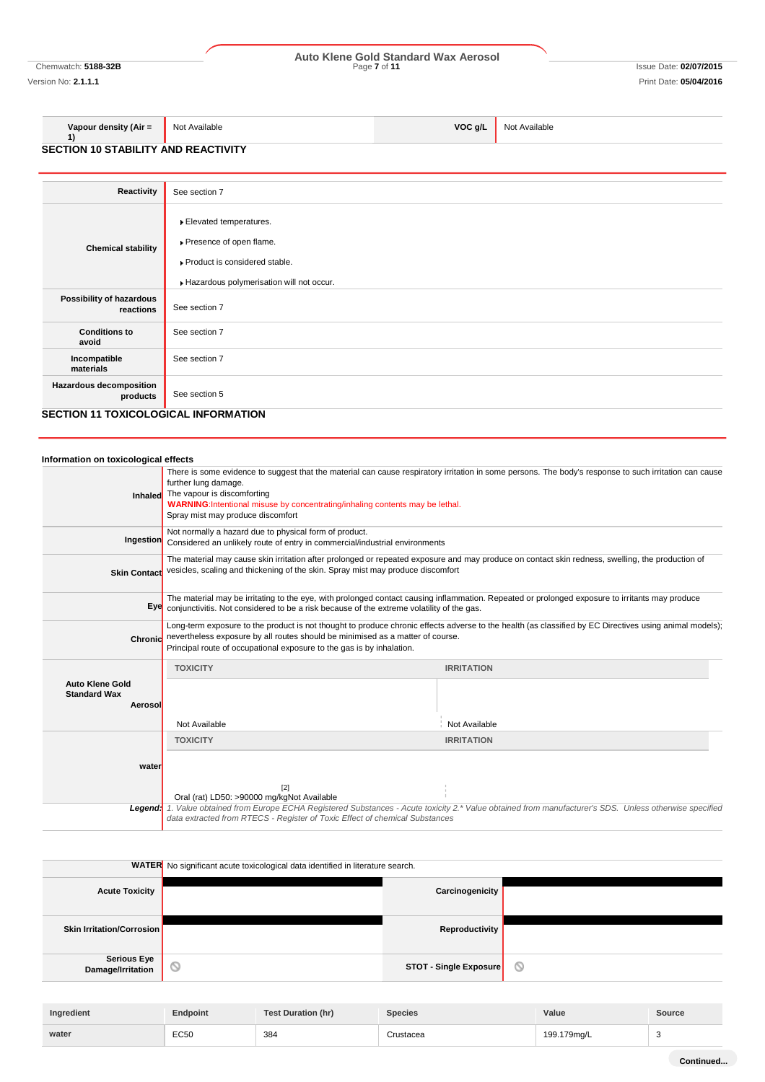# Chemwatch: **5188-32B** Page **7** of **11** Issue Date: **02/07/2015 Auto Klene Gold Standard Wax Aerosol**

Version No: **2.1.1.1** Print Date: **05/04/2016**

Not Available **VOC g/L** Not Available

**1) SECTION 10 STABILITY AND REACTIVITY**

**Vapour density (Air =** 

| Reactivity                                  | See section 7                                                                                                                  |  |
|---------------------------------------------|--------------------------------------------------------------------------------------------------------------------------------|--|
| <b>Chemical stability</b>                   | Elevated temperatures.<br>Presence of open flame.<br>Product is considered stable.<br>Hazardous polymerisation will not occur. |  |
| Possibility of hazardous<br>reactions       | See section 7                                                                                                                  |  |
| <b>Conditions to</b><br>avoid               | See section 7                                                                                                                  |  |
| Incompatible<br>materials                   | See section 7                                                                                                                  |  |
| Hazardous decomposition<br>products         | See section 5                                                                                                                  |  |
| <b>SECTION 11 TOXICOLOGICAL INFORMATION</b> |                                                                                                                                |  |

| Information on toxicological effects                     |                                                                                                                                                                                                                                     |                                                                                                                                                         |  |
|----------------------------------------------------------|-------------------------------------------------------------------------------------------------------------------------------------------------------------------------------------------------------------------------------------|---------------------------------------------------------------------------------------------------------------------------------------------------------|--|
| Inhaled                                                  | further lung damage.<br>The vapour is discomforting<br>WARNING: Intentional misuse by concentrating/inhaling contents may be lethal.<br>Spray mist may produce discomfort                                                           | There is some evidence to suggest that the material can cause respiratory irritation in some persons. The body's response to such irritation can cause  |  |
| Ingestion                                                | Not normally a hazard due to physical form of product.<br>Considered an unlikely route of entry in commercial/industrial environments                                                                                               |                                                                                                                                                         |  |
| <b>Skin Contact</b>                                      | The material may cause skin irritation after prolonged or repeated exposure and may produce on contact skin redness, swelling, the production of<br>vesicles, scaling and thickening of the skin. Spray mist may produce discomfort |                                                                                                                                                         |  |
|                                                          | Eye conjunctivitis. Not considered to be a risk because of the extreme volatility of the gas.                                                                                                                                       | The material may be irritating to the eye, with prolonged contact causing inflammation. Repeated or prolonged exposure to irritants may produce         |  |
| Chronid                                                  | nevertheless exposure by all routes should be minimised as a matter of course.<br>Principal route of occupational exposure to the gas is by inhalation.                                                                             | Long-term exposure to the product is not thought to produce chronic effects adverse to the health (as classified by EC Directives using animal models); |  |
|                                                          | <b>TOXICITY</b>                                                                                                                                                                                                                     | <b>IRRITATION</b>                                                                                                                                       |  |
| <b>Auto Klene Gold</b><br><b>Standard Wax</b><br>Aerosol |                                                                                                                                                                                                                                     |                                                                                                                                                         |  |
|                                                          | Not Available                                                                                                                                                                                                                       | Not Available                                                                                                                                           |  |
|                                                          | <b>TOXICITY</b>                                                                                                                                                                                                                     | <b>IRRITATION</b>                                                                                                                                       |  |
| water                                                    |                                                                                                                                                                                                                                     |                                                                                                                                                         |  |
|                                                          | [2]<br>Oral (rat) LD50: >90000 mg/kgNot Available                                                                                                                                                                                   |                                                                                                                                                         |  |
| Leaend:                                                  | data extracted from RTECS - Register of Toxic Effect of chemical Substances                                                                                                                                                         | 1. Value obtained from Europe ECHA Registered Substances - Acute toxicity 2.* Value obtained from manufacturer's SDS. Unless otherwise specified        |  |

|                                         | <b>WATER</b> No significant acute toxicological data identified in literature search. |                |
|-----------------------------------------|---------------------------------------------------------------------------------------|----------------|
| <b>Acute Toxicity</b>                   | Carcinogenicity                                                                       |                |
| <b>Skin Irritation/Corrosion</b>        | Reproductivity                                                                        |                |
| <b>Serious Eye</b><br>Damage/Irritation | $\circledcirc$<br><b>STOT - Single Exposure</b>                                       | $\circledcirc$ |
|                                         |                                                                                       |                |

| Ingredient | Endpoint    | <b>Test Duration (hr)</b> | <b>Species</b> | Value       | Source |
|------------|-------------|---------------------------|----------------|-------------|--------|
| water      | <b>EC50</b> | 384                       | Crustacea      | 199.179mg/L |        |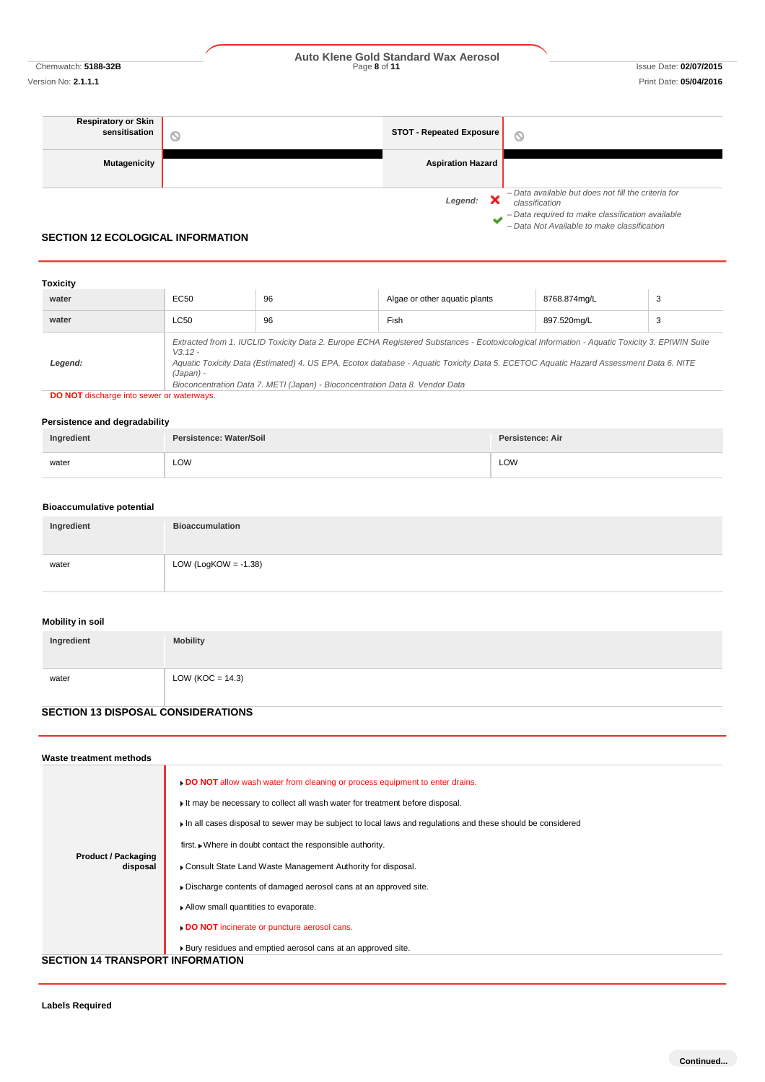Chemwatch: **5188-32B** Page **8** of **11** Issue Date: **02/07/2015 Auto Klene Gold Standard Wax Aerosol**

*– Data Not Available to make classification*

Ÿ.

### **Respiratory or Skin sensitisation STOT - Repeated Exposure**  $\circlearrowright$ **Mutagenicity Aspiration Hazard** *– Data available but does not fill the criteria for Legend: classification – Data required to make classification available*

### **SECTION 12 ECOLOGICAL INFORMATION**

| <b>Toxicity</b> |                        |                                                                              |                                                                                                                                                                                                                                                                                        |              |   |
|-----------------|------------------------|------------------------------------------------------------------------------|----------------------------------------------------------------------------------------------------------------------------------------------------------------------------------------------------------------------------------------------------------------------------------------|--------------|---|
| water           | <b>EC50</b>            | 96                                                                           | Algae or other aguatic plants                                                                                                                                                                                                                                                          | 8768.874mg/L | 3 |
| water           | LC50                   | 96                                                                           | Fish                                                                                                                                                                                                                                                                                   | 897.520mg/L  | 3 |
| Legend:         | $V3.12 -$<br>(Japan) - | Bioconcentration Data 7. METI (Japan) - Bioconcentration Data 8. Vendor Data | Extracted from 1. IUCLID Toxicity Data 2. Europe ECHA Registered Substances - Ecotoxicological Information - Aquatic Toxicity 3. EPIWIN Suite<br>Aquatic Toxicity Data (Estimated) 4. US EPA, Ecotox database - Aquatic Toxicity Data 5. ECETOC Aquatic Hazard Assessment Data 6. NITE |              |   |

**DO NOT** discharge into sewer or waterways.

### **Persistence and degradability**

| Ingredient | Persistence: Water/Soil | Persistence: Air |
|------------|-------------------------|------------------|
| water      | LOW                     | LOW              |

### **Bioaccumulative potential**

| Ingredient | <b>Bioaccumulation</b>  |
|------------|-------------------------|
| water      | LOW (LogKOW = $-1.38$ ) |

# **Mobility in soil**

| Ingredient | <b>Mobility</b>      |
|------------|----------------------|
|            |                      |
| water      | LOW ( $KOC = 14.3$ ) |
|            |                      |

# **SECTION 13 DISPOSAL CONSIDERATIONS**

| Waste treatment methods                |                                                                                                                                                                                                                                                                                                                                                                                                          |  |  |
|----------------------------------------|----------------------------------------------------------------------------------------------------------------------------------------------------------------------------------------------------------------------------------------------------------------------------------------------------------------------------------------------------------------------------------------------------------|--|--|
| <b>Product / Packaging</b><br>disposal | . DO NOT allow wash water from cleaning or process equipment to enter drains.<br>If may be necessary to collect all wash water for treatment before disposal.<br>In all cases disposal to sewer may be subject to local laws and regulations and these should be considered<br>first. • Where in doubt contact the responsible authority.<br>Consult State Land Waste Management Authority for disposal. |  |  |
|                                        | Discharge contents of damaged aerosol cans at an approved site.                                                                                                                                                                                                                                                                                                                                          |  |  |
|                                        | Allow small quantities to evaporate.                                                                                                                                                                                                                                                                                                                                                                     |  |  |
|                                        | DO NOT incinerate or puncture aerosol cans.                                                                                                                                                                                                                                                                                                                                                              |  |  |
|                                        | Bury residues and emptied aerosol cans at an approved site.                                                                                                                                                                                                                                                                                                                                              |  |  |
|                                        | <b>SECTION 14 TRANSPORT INFORMATION</b>                                                                                                                                                                                                                                                                                                                                                                  |  |  |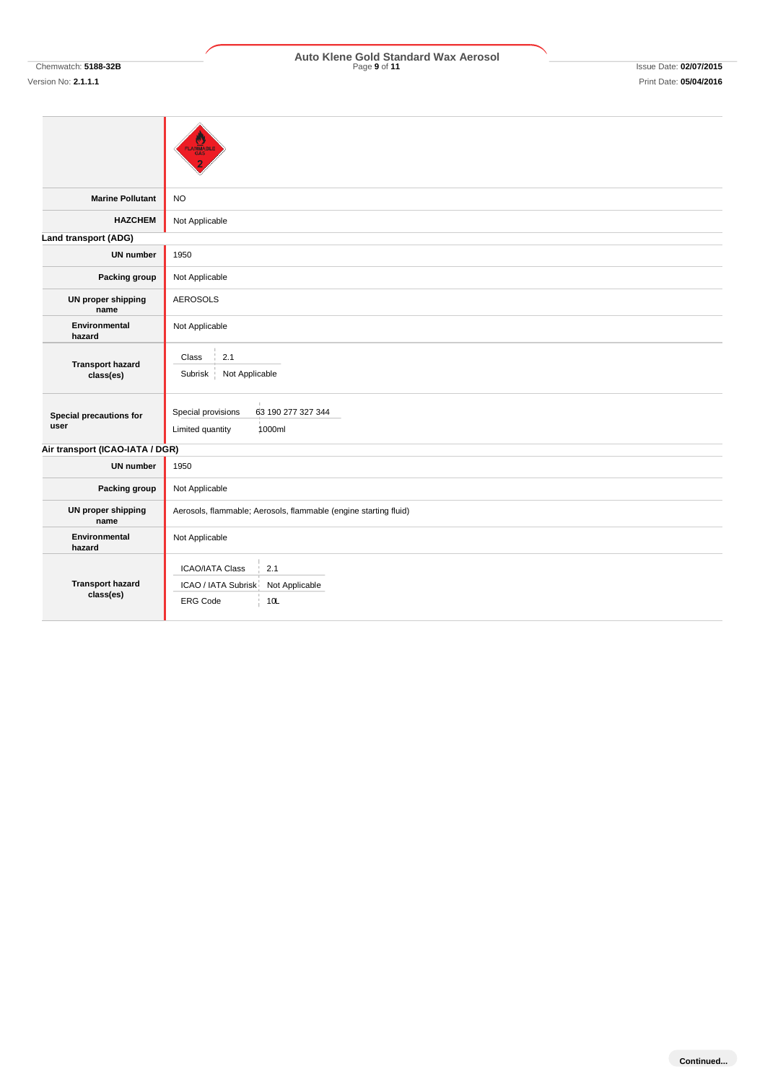# **Marine Pollutant** NO **HAZCHEM** Not Applicable **Land transport (ADG) UN number** 1950 **Packing group** Not Applicable **UN proper shipping name** AEROSOLS **Environmental hazard** Not Applicable **Transport hazard class(es) Special precautions for user** Special provisions 63 190 277 327 344 Limited quantity 1000ml **Air transport (ICAO-IATA / DGR) UN number** 1950 **Packing group** Not Applicable **UN proper shipping name** Aerosols, flammable; Aerosols, flammable (engine starting fluid) **Environmental hazard** Not Applicable **Transport hazard class(es)**  $Class \begin{array}{c} |2.1 \end{array}$ Subrisk Not Applicable ICAO/IATA Class 2.1 ICAO / IATA Subrisk Not Applicable ERG Code 10L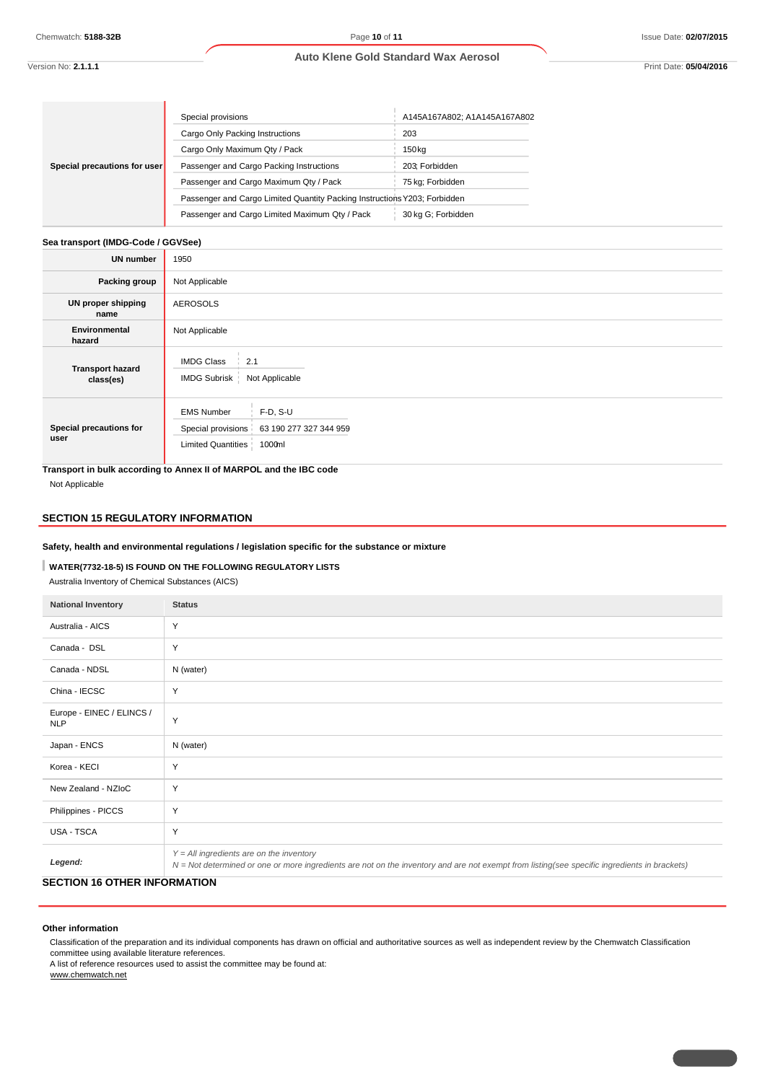### **Auto Klene Gold Standard Wax Aerosol**

Version No: **2.1.1.1** Print Date: **05/04/2016**

|                              | Special provisions                                                        | A145A167A802; A1A145A167A802 |
|------------------------------|---------------------------------------------------------------------------|------------------------------|
|                              | Cargo Only Packing Instructions                                           | 203                          |
|                              | Cargo Only Maximum Qty / Pack                                             | 150 <sub>kg</sub>            |
| Special precautions for user | Passenger and Cargo Packing Instructions                                  | 203: Forbidden               |
|                              | Passenger and Cargo Maximum Qty / Pack                                    | 75 kg; Forbidden             |
|                              | Passenger and Cargo Limited Quantity Packing Instructions Y203; Forbidden |                              |
|                              | Passenger and Cargo Limited Maximum Qty / Pack                            | 30 kg G; Forbidden           |

# **Sea transport (IMDG-Code / GGVSee)**

ΞĪ.

| <b>UN number</b>                     | 1950                                                                                                                |  |
|--------------------------------------|---------------------------------------------------------------------------------------------------------------------|--|
| Packing group                        | Not Applicable                                                                                                      |  |
| UN proper shipping<br>name           | <b>AEROSOLS</b>                                                                                                     |  |
| Environmental<br>hazard              | Not Applicable                                                                                                      |  |
| <b>Transport hazard</b><br>class(es) | <b>IMDG Class</b><br>2.1<br>Not Applicable<br>IMDG Subrisk                                                          |  |
| Special precautions for<br>user      | $F-D, S-U$<br><b>EMS Number</b><br>Special provisions 63 190 277 327 344 959<br><b>Limited Quantities</b><br>1000ml |  |

**Transport in bulk according to Annex II of MARPOL and the IBC code** Not Applicable

# **SECTION 15 REGULATORY INFORMATION**

**Safety, health and environmental regulations / legislation specific for the substance or mixture**

# **WATER(7732-18-5) IS FOUND ON THE FOLLOWING REGULATORY LISTS**

Australia Inventory of Chemical Substances (AICS)

| <b>National Inventory</b>               | <b>Status</b>                                                                                                                                                                              |
|-----------------------------------------|--------------------------------------------------------------------------------------------------------------------------------------------------------------------------------------------|
| Australia - AICS                        | Y                                                                                                                                                                                          |
| Canada - DSL                            | Y                                                                                                                                                                                          |
| Canada - NDSL                           | N (water)                                                                                                                                                                                  |
| China - IECSC                           | Y                                                                                                                                                                                          |
| Europe - EINEC / ELINCS /<br><b>NLP</b> | Y                                                                                                                                                                                          |
| Japan - ENCS                            | N (water)                                                                                                                                                                                  |
| Korea - KECI                            | Y                                                                                                                                                                                          |
| New Zealand - NZIoC                     | Y                                                                                                                                                                                          |
| Philippines - PICCS                     | Y                                                                                                                                                                                          |
| USA - TSCA                              | Y                                                                                                                                                                                          |
| Legend:                                 | $Y = All$ ingredients are on the inventory<br>N = Not determined or one or more ingredients are not on the inventory and are not exempt from listing(see specific ingredients in brackets) |

# **SECTION 16 OTHER INFORMATION**

#### **Other information**

Classification of the preparation and its individual components has drawn on official and authoritative sources as well as independent review by the Chemwatch Classification committee using available literature references.

A list of reference resources used to assist the committee may be found at:

www.chemwatch.net